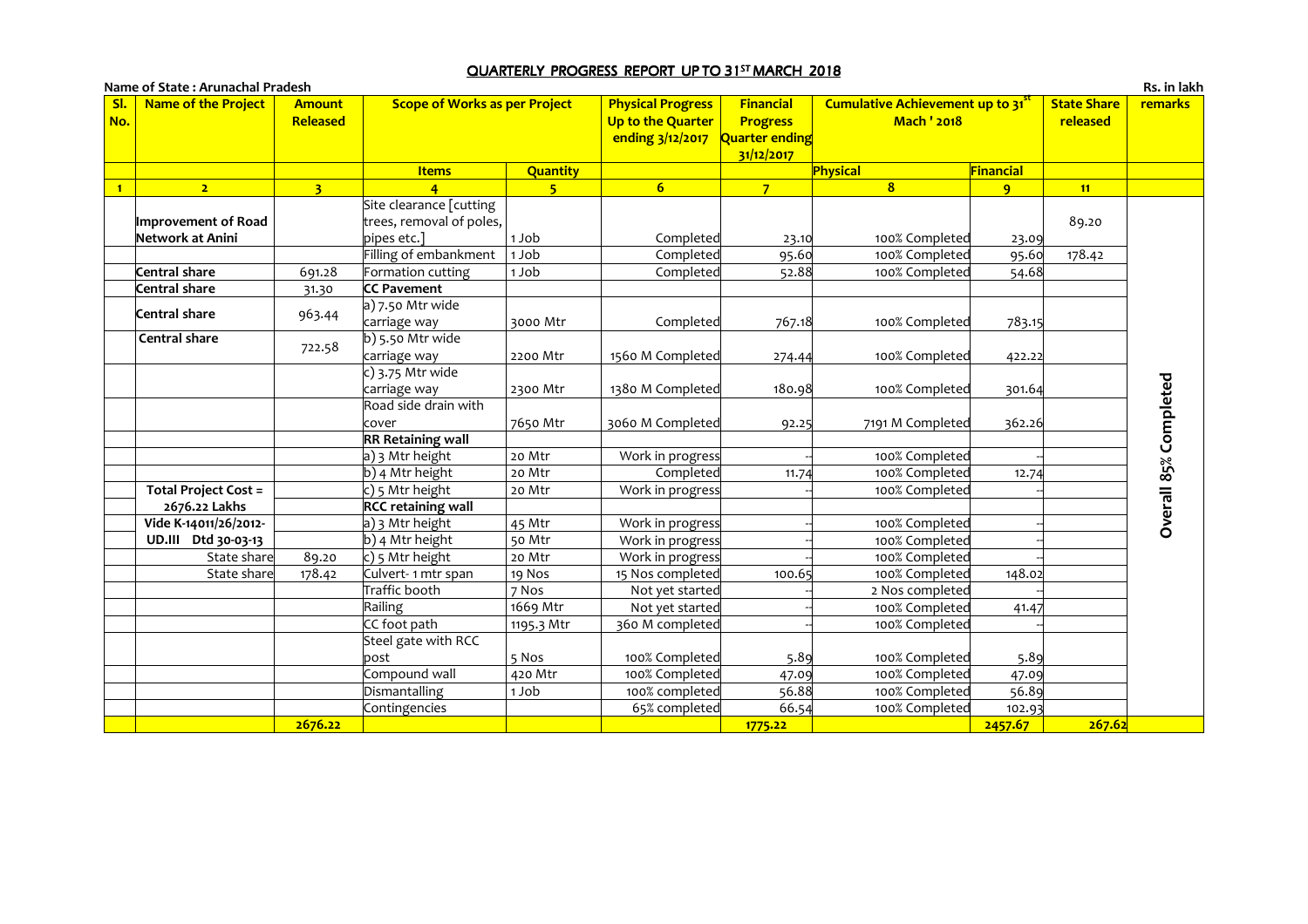## <u>QUARTERLY PROGRESS REPORT UP TO 31<sup>st</sup> MARCH 2018</u>

|                | Name of State: Arunachal Pradesh |                           |                                      |                 |                                                                   |                                                              |                                                       |              |                                | Rs. in lakh           |
|----------------|----------------------------------|---------------------------|--------------------------------------|-----------------|-------------------------------------------------------------------|--------------------------------------------------------------|-------------------------------------------------------|--------------|--------------------------------|-----------------------|
| SI.<br>No.     | <b>Name of the Project</b>       | <b>Amount</b><br>Released | <b>Scope of Works as per Project</b> |                 | <b>Physical Progress</b><br>Up to the Quarter<br>ending 3/12/2017 | Financial<br><b>Progress</b><br>Quarter ending<br>31/12/2017 | Cumulative Achievement up to 31<br><b>Mach ' 2018</b> |              | <b>State Share</b><br>released | <b>remarks</b>        |
|                |                                  |                           | <b>Items</b>                         | <b>Quantity</b> |                                                                   |                                                              | Physical                                              | Financial    |                                |                       |
| $\blacksquare$ | 2 <sup>7</sup>                   | $\overline{3}$            | $\overline{4}$                       | $-5$            | 6 <sup>1</sup>                                                    | 7 <sup>1</sup>                                               | $\overline{\mathbf{8}}$                               | $\mathbf{q}$ | 11                             |                       |
|                |                                  |                           | Site clearance [cutting              |                 |                                                                   |                                                              |                                                       |              |                                |                       |
|                | Improvement of Road              |                           | trees, removal of poles,             |                 |                                                                   |                                                              |                                                       |              | 89.20                          |                       |
|                | Network at Anini                 |                           | pipes etc.]                          | 1 Job           | Completed                                                         | 23.10                                                        | 100% Completed                                        | 23.09        |                                |                       |
|                |                                  |                           | Filling of embankment                | 1 Job           | Completed                                                         | 95.60                                                        | 100% Completed                                        | 95.60        | 178.42                         |                       |
|                | Central share                    | 691.28                    | Formation cutting                    | 1 Job           | Completed                                                         | 52.88                                                        | 100% Completed                                        | 54.68        |                                |                       |
|                | Central share                    | 31.30                     | <b>CC Pavement</b>                   |                 |                                                                   |                                                              |                                                       |              |                                |                       |
|                | Central share                    |                           | $a)$ 7.50 Mtr wide                   |                 |                                                                   |                                                              |                                                       |              |                                |                       |
|                |                                  | 963.44                    | carriage way                         | 3000 Mtr        | Completed                                                         | 767.18                                                       | 100% Completed                                        | 783.15       |                                |                       |
|                | Central share                    | 722.58                    | b) 5.50 Mtr wide                     |                 |                                                                   |                                                              |                                                       |              |                                |                       |
|                |                                  |                           | carriage way                         | 2200 Mtr        | 1560 M Completed                                                  | 274.44                                                       | 100% Completed                                        | 422.22       |                                |                       |
|                |                                  |                           | $\vert$ c) 3.75 Mtr wide             |                 |                                                                   |                                                              |                                                       |              |                                |                       |
|                |                                  |                           | carriage way                         | 2300 Mtr        | 1380 M Completed                                                  | 180.98                                                       | 100% Completed                                        | 301.64       |                                |                       |
|                |                                  |                           | Road side drain with                 |                 |                                                                   |                                                              |                                                       |              |                                |                       |
|                |                                  |                           | cover                                | 7650 Mtr        | 3060 M Completed                                                  | 92.25                                                        | 7191 M Completed                                      | 362.26       |                                | Overall 85% Completed |
|                |                                  |                           | <b>RR Retaining wall</b>             |                 |                                                                   |                                                              |                                                       |              |                                |                       |
|                |                                  |                           | a) 3 Mtr height                      | 20 Mtr          | Work in progress                                                  |                                                              | 100% Completed                                        |              |                                |                       |
|                |                                  |                           | b) 4 Mtr height                      | 20 Mtr          | Completed                                                         | 11.74                                                        | 100% Completed                                        | 12.74        |                                |                       |
|                | <b>Total Project Cost =</b>      |                           | c) 5 Mtr height                      | 20 Mtr          | Work in progress                                                  |                                                              | 100% Completed                                        |              |                                |                       |
|                | 2676.22 Lakhs                    |                           | <b>RCC retaining wall</b>            |                 |                                                                   |                                                              |                                                       |              |                                |                       |
|                | Vide K-14011/26/2012-            |                           | a) 3 Mtr height                      | 45 Mtr          | Work in progress                                                  |                                                              | 100% Completed                                        |              |                                |                       |
|                | UD.III Dtd 30-03-13              |                           | $b)$ 4 Mtr height                    | 50 Mtr          | Work in progress                                                  |                                                              | 100% Completed                                        |              |                                |                       |
|                | State share                      | 89.20                     | c) 5 Mtr height                      | 20 Mtr          | Work in progress                                                  |                                                              | 100% Completed                                        |              |                                |                       |
|                | State share                      | 178.42                    | Culvert-1 mtr span                   | 19 Nos          | 15 Nos completed                                                  | 100.65                                                       | 100% Completed                                        | 148.02       |                                |                       |
|                |                                  |                           | Traffic booth                        | 7 Nos           | Not yet started                                                   |                                                              | 2 Nos completed                                       |              |                                |                       |
|                |                                  |                           | Railing                              | 1669 Mtr        | Not yet started                                                   |                                                              | 100% Completed                                        | 41.47        |                                |                       |
|                |                                  |                           | CC foot path                         | 1195.3 Mtr      | 360 M completed                                                   |                                                              | 100% Completed                                        |              |                                |                       |
|                |                                  |                           | Steel gate with RCC                  |                 |                                                                   |                                                              |                                                       |              |                                |                       |
|                |                                  |                           | bost                                 | 5 Nos           | 100% Completed                                                    | 5.89                                                         | 100% Completed                                        | 5.89         |                                |                       |
|                |                                  |                           | Compound wall                        | 420 Mtr         | 100% Completed                                                    | 47.09                                                        | 100% Completed                                        | 47.09        |                                |                       |
|                |                                  |                           | Dismantalling                        | 1 Job           | 100% completed                                                    | 56.88                                                        | 100% Completed                                        | 56.89        |                                |                       |
|                |                                  |                           | Contingencies                        |                 | 65% completed                                                     | 66.54                                                        | 100% Completed                                        | 102.93       |                                |                       |
|                |                                  | 2676.22                   |                                      |                 |                                                                   | 1775.22                                                      |                                                       | 2457.67      | 267.62                         |                       |